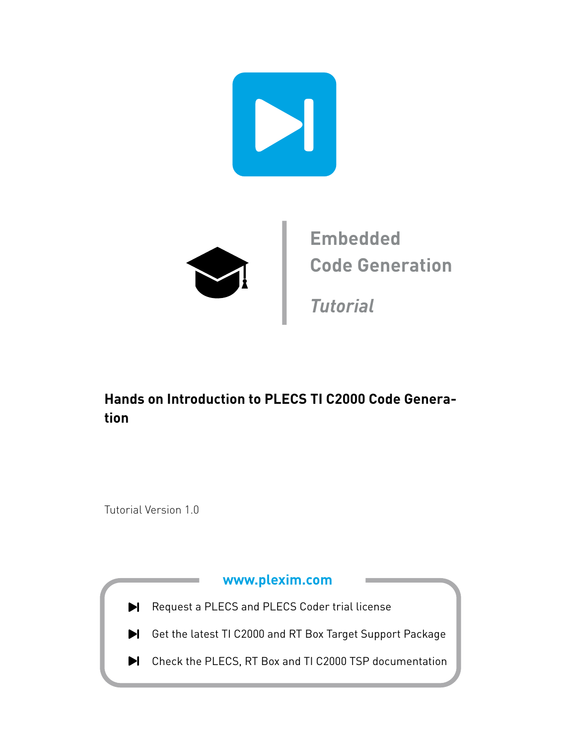

### **Hands on Introduction to PLECS TI C2000 Code Generation**

Tutorial Version 1.0

### **[www.plexim.com](http://www.plexim.com)**

- Request a PLECS and PLECS Coder trial license
- Get the latest TI C2000 and RT Box Target Support Package
- $\blacktriangleright$  Check the PLECS, RT Box and TI C2000 TSP documentation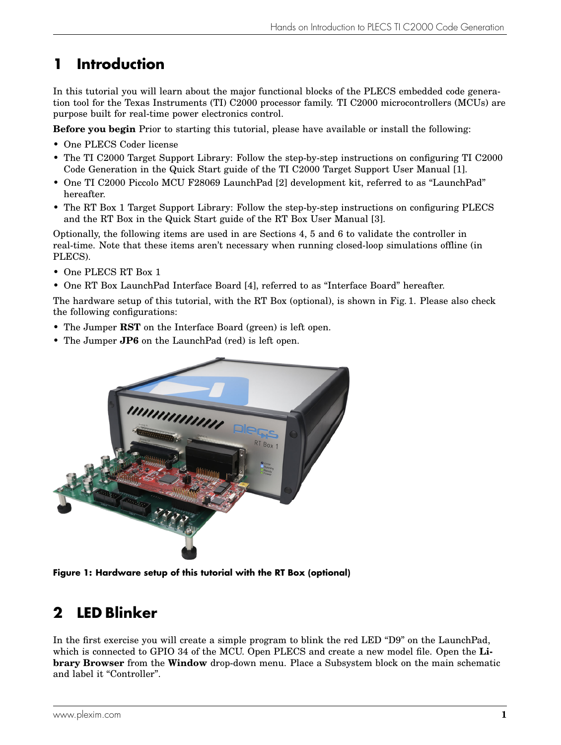## **1 Introduction**

In this tutorial you will learn about the major functional blocks of the PLECS embedded code generation tool for the Texas Instruments (TI) C2000 processor family. TI C2000 microcontrollers (MCUs) are purpose built for real-time power electronics control.

**Before you begin** Prior to starting this tutorial, please have available or install the following:

- One [PLECS Coder](https://www.plexim.com/products/plecs_coder) license
- The [TI C2000 Target Support Library:](https://www.plexim.com/download/tsp_c2000) Follow the step-by-step instructions on configuring TI C2000 Code Generation in the Quick Start guide of the [TI C2000 Target Support User Manual](https://www.plexim.com/sites/default/files/c2000manual.pdf) [\[1\]](#page-9-0).
- One TI C2000 Piccolo MCU F28069 LaunchPad [\[2\]](#page-9-1) development kit, referred to as "LaunchPad" hereafter.
- The [RT Box 1 Target Support Library:](https://www.plexim.com/download/rt_box) Follow the step-by-step instructions on configuring PLECS and the RT Box in the Quick Start guide of the [RT Box User Manual](https://www.plexim.com/sites/default/files/rtboxmanual.pdf) [\[3\]](#page-9-2).

Optionally, the following items are used in are Sections [4,](#page-3-0) [5](#page-4-0) and [6](#page-7-0) to validate the controller in real-time. Note that these items aren't necessary when running closed-loop simulations offline (in PLECS).

- One [PLECS RT Box 1](https://www.plexim.com/products/rt_box)
- One [RT Box LaunchPad Interface Board](https://www.plexim.com/products/rt_box/launchpad_interface) [\[4\]](#page-9-3), referred to as "Interface Board" hereafter.

The hardware setup of this tutorial, with the RT Box (optional), is shown in Fig. [1.](#page-1-0) Please also check the following configurations:

- The Jumper **RST** on the Interface Board (green) is left open.
- The Jumper **JP6** on the LaunchPad (red) is left open.

<span id="page-1-0"></span>

**Figure 1: Hardware setup of this tutorial with the RT Box (optional)**

### **2 LED Blinker**

In the first exercise you will create a simple program to blink the red LED "D9" on the LaunchPad, which is connected to GPIO 34 of the MCU. Open PLECS and create a new model file. Open the **Library Browser** from the **Window** drop-down menu. Place a Subsystem block on the main schematic and label it "Controller".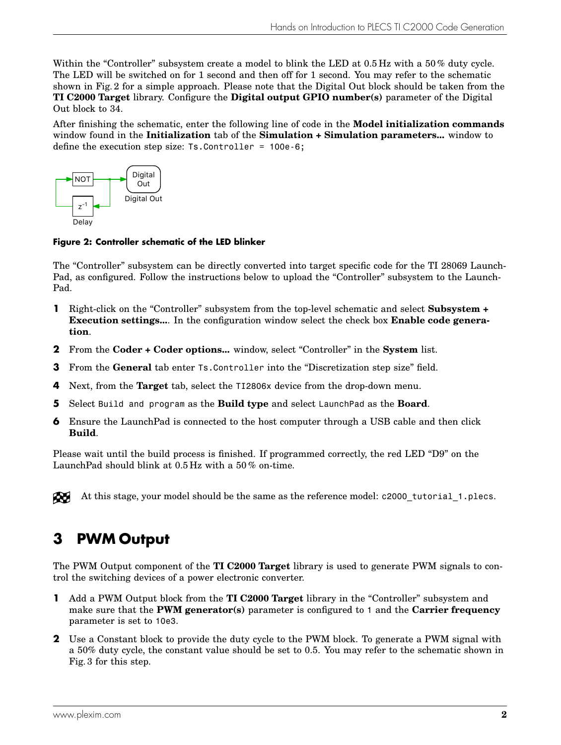Within the "Controller" subsystem create a model to blink the LED at 0.5 Hz with a 50% duty cycle. The LED will be switched on for 1 second and then off for 1 second. You may refer to the schematic shown in Fig. [2](#page-2-0) for a simple approach. Please note that the Digital Out block should be taken from the **TI C2000 Target** library. Configure the **Digital output GPIO number(s)** parameter of the Digital Out block to 34.

After finishing the schematic, enter the following line of code in the **Model initialization commands** window found in the **Initialization** tab of the **Simulation + Simulation parameters...** window to define the execution step size: Ts.Controller = 100e-6;

<span id="page-2-0"></span>

#### **Figure 2: Controller schematic of the LED blinker**

The "Controller" subsystem can be directly converted into target specific code for the TI 28069 Launch-Pad, as configured. Follow the instructions below to upload the "Controller" subsystem to the Launch-Pad.

- **1** Right-click on the "Controller" subsystem from the top-level schematic and select **Subsystem + Execution settings...**. In the configuration window select the check box **Enable code generation**.
- **2** From the **Coder + Coder options...** window, select "Controller" in the **System** list.
- **3** From the **General** tab enter Ts.Controller into the "Discretization step size" field.
- **4** Next, from the **Target** tab, select the TI2806x device from the drop-down menu.
- **5** Select Build and program as the **Build type** and select LaunchPad as the **Board**.
- **6** Ensure the Launch Pad is connected to the host computer through a USB cable and then click **Build**.

Please wait until the build process is finished. If programmed correctly, the red LED "D9" on the LaunchPad should blink at 0.5 Hz with a 50 % on-time.

Æ

At this stage, your model should be the same as the reference model: c2000 tutorial 1.plecs.

### **3 PWM Output**

The PWM Output component of the **TI C2000 Target** library is used to generate PWM signals to control the switching devices of a power electronic converter.

- **1** Add a PWM Output block from the **TI C2000 Target** library in the "Controller" subsystem and make sure that the **PWM generator(s)** parameter is configured to 1 and the **Carrier frequency** parameter is set to 10e3.
- **2** Use a Constant block to provide the duty cycle to the PWM block. To generate a PWM signal with a 50% duty cycle, the constant value should be set to 0.5. You may refer to the schematic shown in Fig. [3](#page-3-1) for this step.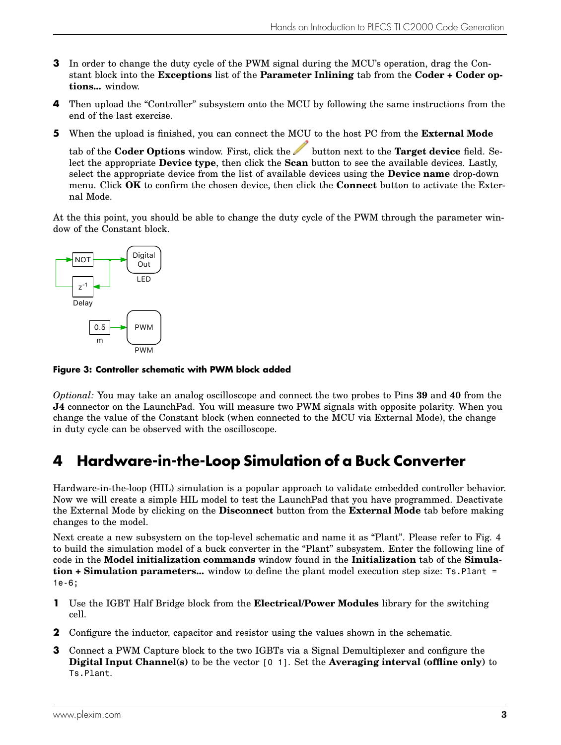- **3** In order to change the duty cycle of the PWM signal during the MCU's operation, drag the Constant block into the **Exceptions** list of the **Parameter Inlining** tab from the **Coder + Coder options...** window.
- **4** Then upload the "Controller" subsystem onto the MCU by following the same instructions from the end of the last exercise.
- **5** When the upload is finished, you can connect the MCU to the host PC from the **External Mode**

tab of the **Coder Options** window. First, click the button next to the **Target device** field. Select the appropriate **Device type**, then click the **Scan** button to see the available devices. Lastly, select the appropriate device from the list of available devices using the **Device name** drop-down menu. Click **OK** to confirm the chosen device, then click the **Connect** button to activate the External Mode.

At the this point, you should be able to change the duty cycle of the PWM through the parameter window of the Constant block.

<span id="page-3-1"></span>

**Figure 3: Controller schematic with PWM block added**

*Optional:* You may take an analog oscilloscope and connect the two probes to Pins **39** and **40** from the **J4** connector on the LaunchPad. You will measure two PWM signals with opposite polarity. When you change the value of the Constant block (when connected to the MCU via External Mode), the change in duty cycle can be observed with the oscilloscope.

### <span id="page-3-0"></span>**4 Hardware-in-the-Loop Simulation of a Buck Converter**

Hardware-in-the-loop (HIL) simulation is a popular approach to validate embedded controller behavior. Now we will create a simple HIL model to test the LaunchPad that you have programmed. Deactivate the External Mode by clicking on the **Disconnect** button from the **External Mode** tab before making changes to the model.

Next create a new subsystem on the top-level schematic and name it as "Plant". Please refer to Fig. [4](#page-4-1) to build the simulation model of a buck converter in the "Plant" subsystem. Enter the following line of code in the **Model initialization commands** window found in the **Initialization** tab of the **Simulation + Simulation parameters...** window to define the plant model execution step size: Ts.Plant = 1e-6;

- **1** Use the IGBT Half Bridge block from the **Electrical/Power Modules** library for the switching cell.
- **2** Configure the inductor, capacitor and resistor using the values shown in the schematic.
- **3** Connect a PWM Capture block to the two IGBTs via a Signal Demultiplexer and configure the **Digital Input Channel(s)** to be the vector [0 1]. Set the **Averaging interval (offline only)** to Ts.Plant.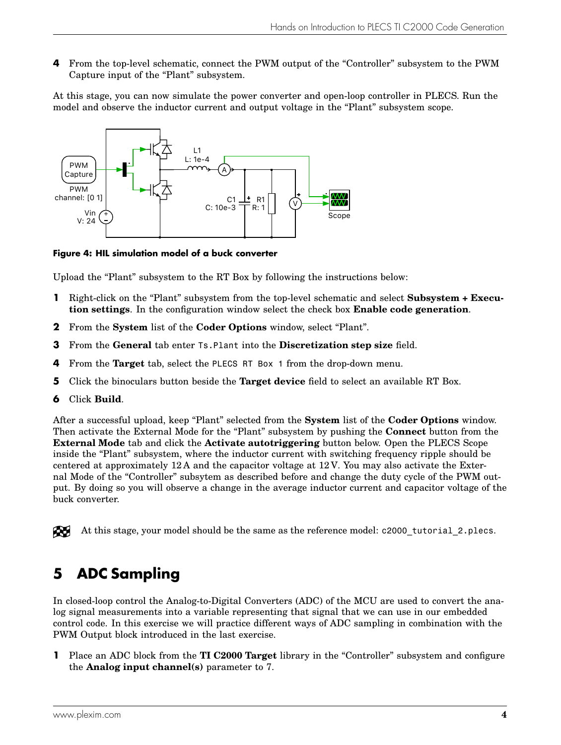**4** From the top-level schematic, connect the PWM output of the "Controller" subsystem to the PWM Capture input of the "Plant" subsystem.

At this stage, you can now simulate the power converter and open-loop controller in PLECS. Run the model and observe the inductor current and output voltage in the "Plant" subsystem scope.

<span id="page-4-1"></span>

**Figure 4: HIL simulation model of a buck converter**

Upload the "Plant" subsystem to the RT Box by following the instructions below:

- **1** Right-click on the "Plant" subsystem from the top-level schematic and select **Subsystem + Execution settings**. In the configuration window select the check box **Enable code generation**.
- **2** From the **System** list of the **Coder Options** window, select "Plant".
- **3** From the **General** tab enter Ts.Plant into the **Discretization step size** field.
- **4** From the **Target** tab, select the PLECS RT Box 1 from the drop-down menu.
- **5** Click the binoculars button beside the **Target device** field to select an available RT Box.
- **6** Click **Build**.

After a successful upload, keep "Plant" selected from the **System** list of the **Coder Options** window. Then activate the External Mode for the "Plant" subsystem by pushing the **Connect** button from the **External Mode** tab and click the **Activate autotriggering** button below. Open the PLECS Scope inside the "Plant" subsystem, where the inductor current with switching frequency ripple should be centered at approximately 12 A and the capacitor voltage at 12 V. You may also activate the External Mode of the "Controller" subsytem as described before and change the duty cycle of the PWM output. By doing so you will observe a change in the average inductor current and capacitor voltage of the buck converter.

At this stage, your model should be the same as the reference model: c2000 tutorial 2.plecs. RU.

### <span id="page-4-0"></span>**5 ADC Sampling**

In closed-loop control the Analog-to-Digital Converters (ADC) of the MCU are used to convert the analog signal measurements into a variable representing that signal that we can use in our embedded control code. In this exercise we will practice different ways of ADC sampling in combination with the PWM Output block introduced in the last exercise.

**1** Place an ADC block from the **TI C2000 Target** library in the "Controller" subsystem and configure the **Analog input channel(s)** parameter to 7.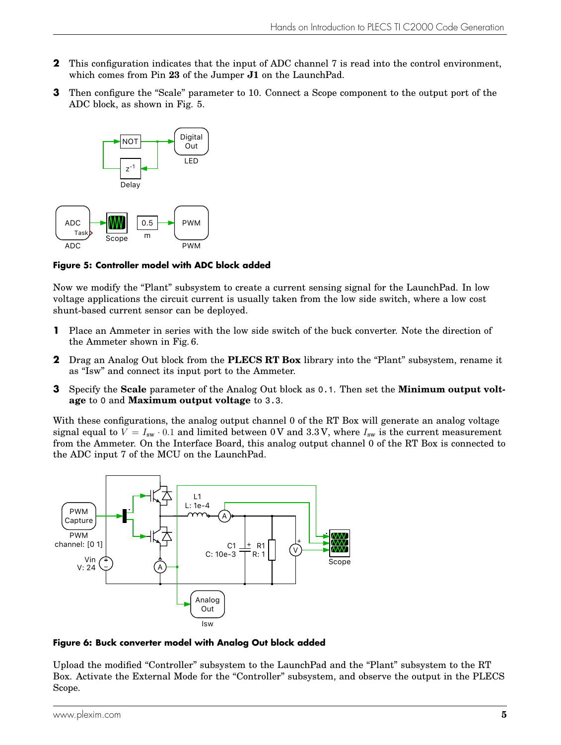- **2** This configuration indicates that the input of ADC channel 7 is read into the control environment, which comes from Pin **23** of the Jumper **J1** on the LaunchPad.
- **3** Then configure the "Scale" parameter to 10. Connect a Scope component to the output port of the ADC block, as shown in Fig. [5.](#page-5-0)

<span id="page-5-0"></span>

**Figure 5: Controller model with ADC block added**

Now we modify the "Plant" subsystem to create a current sensing signal for the LaunchPad. In low voltage applications the circuit current is usually taken from the low side switch, where a low cost shunt-based current sensor can be deployed.

- **1** Place an Ammeter in series with the low side switch of the buck converter. Note the direction of the Ammeter shown in Fig. [6.](#page-5-1)
- **2** Drag an Analog Out block from the **PLECS RT Box** library into the "Plant" subsystem, rename it as "Isw" and connect its input port to the Ammeter.
- **3** Specify the **Scale** parameter of the Analog Out block as 0.1. Then set the **Minimum output voltage** to 0 and **Maximum output voltage** to 3.3.

With these configurations, the analog output channel 0 of the RT Box will generate an analog voltage signal equal to  $V = I_{sw} \cdot 0.1$  and limited between 0 V and 3.3 V, where  $I_{sw}$  is the current measurement from the Ammeter. On the Interface Board, this analog output channel 0 of the RT Box is connected to the ADC input 7 of the MCU on the LaunchPad.

<span id="page-5-1"></span>

**Figure 6: Buck converter model with Analog Out block added**

Upload the modified "Controller" subsystem to the LaunchPad and the "Plant" subsystem to the RT Box. Activate the External Mode for the "Controller" subsystem, and observe the output in the PLECS Scope.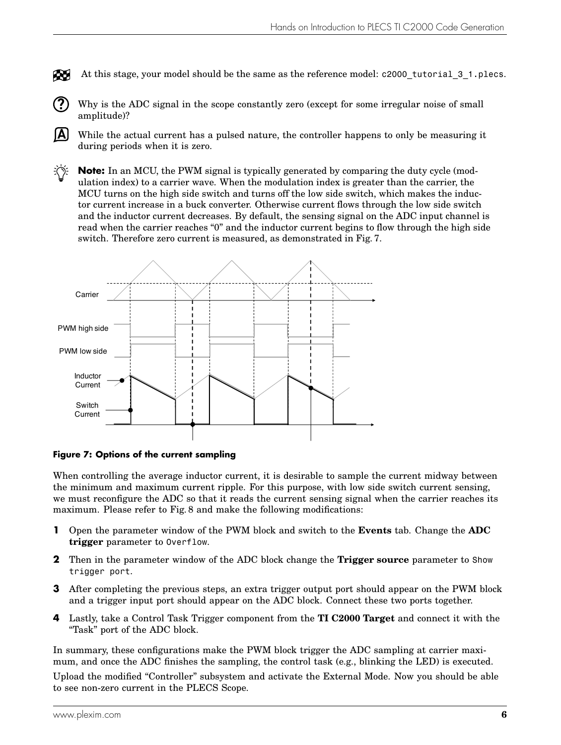At this stage, your model should be the same as the reference model: c2000 tutorial 3 1.plecs. Æ

**?**

**A**

Why is the ADC signal in the scope constantly zero (except for some irregular noise of small amplitude)?

While the actual current has a pulsed nature, the controller happens to only be measuring it during periods when it is zero.

᠄ᢆᡤ **Note:** In an MCU, the PWM signal is typically generated by comparing the duty cycle (modulation index) to a carrier wave. When the modulation index is greater than the carrier, the MCU turns on the high side switch and turns off the low side switch, which makes the inductor current increase in a buck converter. Otherwise current flows through the low side switch and the inductor current decreases. By default, the sensing signal on the ADC input channel is read when the carrier reaches "0" and the inductor current begins to flow through the high side switch. Therefore zero current is measured, as demonstrated in Fig. [7.](#page-6-0)

<span id="page-6-0"></span>

#### **Figure 7: Options of the current sampling**

When controlling the average inductor current, it is desirable to sample the current midway between the minimum and maximum current ripple. For this purpose, with low side switch current sensing, we must reconfigure the ADC so that it reads the current sensing signal when the carrier reaches its maximum. Please refer to Fig. [8](#page-7-1) and make the following modifications:

- **1** Open the parameter window of the PWM block and switch to the **Events** tab. Change the **ADC trigger** parameter to Overflow.
- **2** Then in the parameter window of the ADC block change the **Trigger source** parameter to Show trigger port.
- **3** After completing the previous steps, an extra trigger output port should appear on the PWM block and a trigger input port should appear on the ADC block. Connect these two ports together.
- **4** Lastly, take a Control Task Trigger component from the **TI C2000 Target** and connect it with the "Task" port of the ADC block.

In summary, these configurations make the PWM block trigger the ADC sampling at carrier maximum, and once the ADC finishes the sampling, the control task (e.g., blinking the LED) is executed.

Upload the modified "Controller" subsystem and activate the External Mode. Now you should be able to see non-zero current in the PLECS Scope.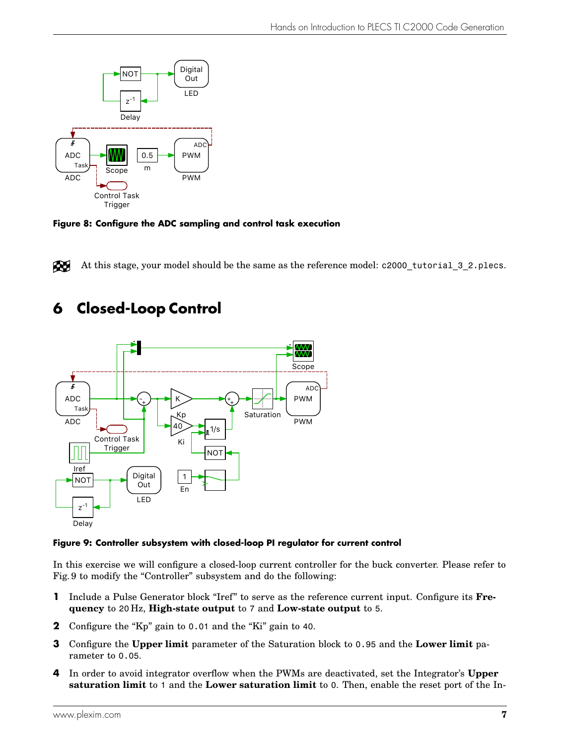<span id="page-7-1"></span>



At this stage, your model should be the same as the reference model: c2000 tutorial 3 2.plecs. Æ

### <span id="page-7-0"></span>**6 Closed-Loop Control**

<span id="page-7-2"></span>

#### **Figure 9: Controller subsystem with closed-loop PI regulator for current control**

In this exercise we will configure a closed-loop current controller for the buck converter. Please refer to Fig. [9](#page-7-2) to modify the "Controller" subsystem and do the following:

- **1** Include a Pulse Generator block "Iref" to serve as the reference current input. Configure its Fre**quency** to 20 Hz, **High-state output** to 7 and **Low-state output** to 5.
- **2** Configure the "Kp" gain to 0.01 and the "Ki" gain to 40.
- **3** Configure the **Upper limit** parameter of the Saturation block to 0.95 and the **Lower limit** parameter to 0.05.
- **4** In order to avoid integrator overflow when the PWMs are deactivated, set the Integrator's **Upper saturation limit** to 1 and the **Lower saturation limit** to 0. Then, enable the reset port of the In-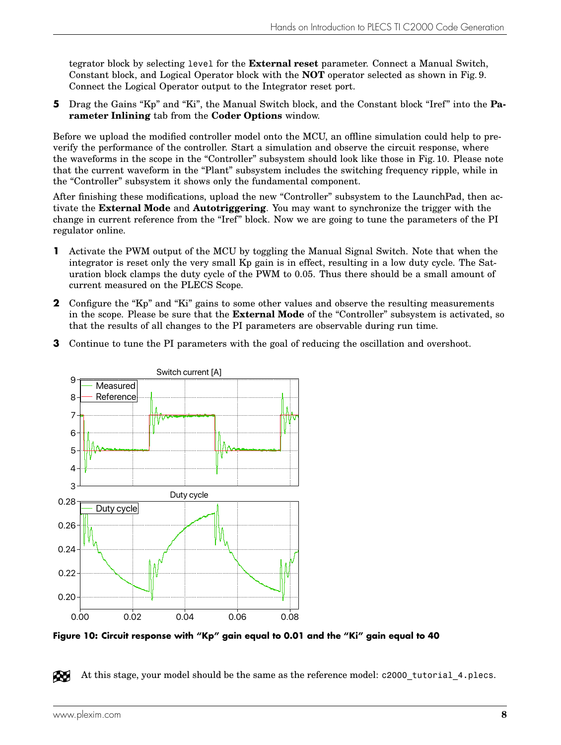tegrator block by selecting level for the **External reset** parameter. Connect a Manual Switch, Constant block, and Logical Operator block with the **NOT** operator selected as shown in Fig. [9.](#page-7-2) Connect the Logical Operator output to the Integrator reset port.

**5** Drag the Gains "Kp" and "Ki", the Manual Switch block, and the Constant block "Iref" into the **Parameter Inlining** tab from the **Coder Options** window.

Before we upload the modified controller model onto the MCU, an offline simulation could help to preverify the performance of the controller. Start a simulation and observe the circuit response, where the waveforms in the scope in the "Controller" subsystem should look like those in Fig. [10.](#page-8-0) Please note that the current waveform in the "Plant" subsystem includes the switching frequency ripple, while in the "Controller" subsystem it shows only the fundamental component.

After finishing these modifications, upload the new "Controller" subsystem to the LaunchPad, then activate the **External Mode** and **Autotriggering**. You may want to synchronize the trigger with the change in current reference from the "Iref" block. Now we are going to tune the parameters of the PI regulator online.

- **1** Activate the PWM output of the MCU by toggling the Manual Signal Switch. Note that when the integrator is reset only the very small Kp gain is in effect, resulting in a low duty cycle. The Saturation block clamps the duty cycle of the PWM to 0.05. Thus there should be a small amount of current measured on the PLECS Scope.
- **2** Configure the "Kp" and "Ki" gains to some other values and observe the resulting measurements in the scope. Please be sure that the **External Mode** of the "Controller" subsystem is activated, so that the results of all changes to the PI parameters are observable during run time.
- **3** Continue to tune the PI parameters with the goal of reducing the oscillation and overshoot.

<span id="page-8-0"></span>

**Figure 10: Circuit response with "Kp" gain equal to 0.01 and the "Ki" gain equal to 40**

RU At this stage, your model should be the same as the reference model: c2000 tutorial 4.plecs.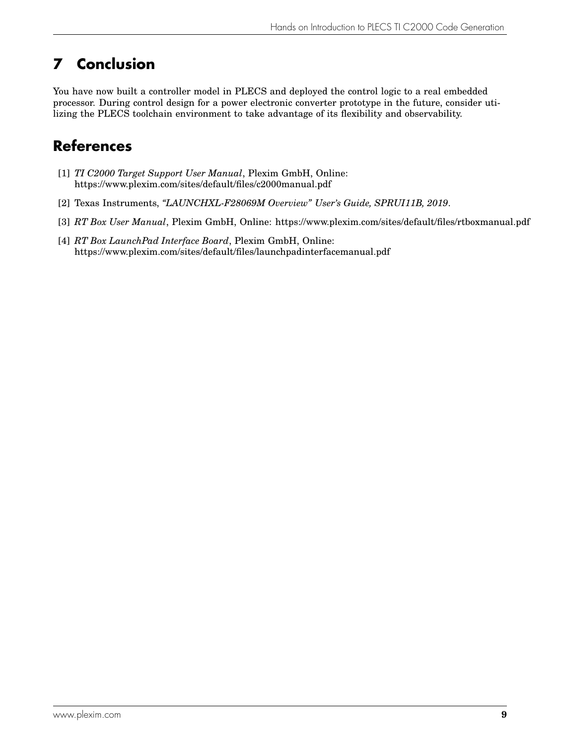# **7 Conclusion**

You have now built a controller model in PLECS and deployed the control logic to a real embedded processor. During control design for a power electronic converter prototype in the future, consider utilizing the PLECS toolchain environment to take advantage of its flexibility and observability.

### **References**

- <span id="page-9-0"></span>[1] *TI C2000 Target Support User Manual*, Plexim GmbH, Online: <https://www.plexim.com/sites/default/files/c2000manual.pdf>
- <span id="page-9-1"></span>[2] Texas Instruments, *"LAUNCHXL-F28069M Overview" User's Guide, SPRUI11B, 2019*.
- <span id="page-9-2"></span>[3] *RT Box User Manual*, Plexim GmbH, Online: <https://www.plexim.com/sites/default/files/rtboxmanual.pdf>
- <span id="page-9-3"></span>[4] *RT Box LaunchPad Interface Board*, Plexim GmbH, Online: <https://www.plexim.com/sites/default/files/launchpadinterfacemanual.pdf>